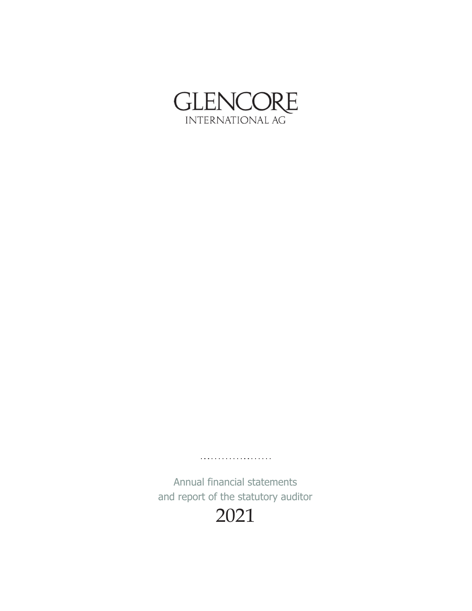

Annual financial statements and report of the statutory auditor

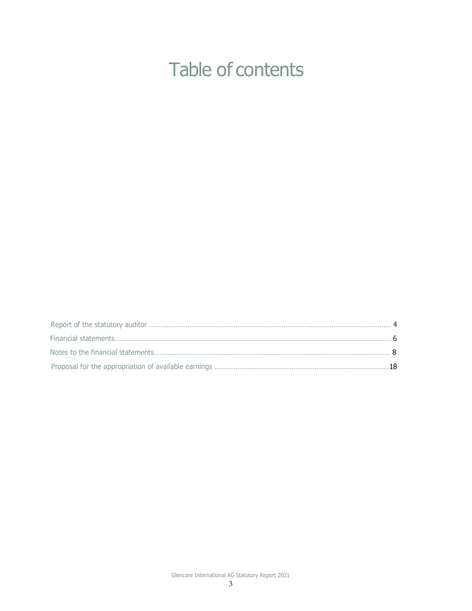## Table of contents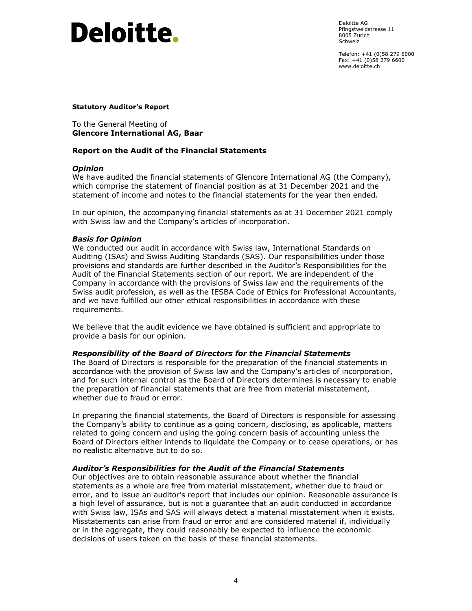# **Deloitte.**

Deloitte AG Pfingstweidstrasse 11 8005 Zurich Schweiz

Telefon: +41 (0)58 279 6000 Fax: +41 (0)58 279 6600 www.deloitte.ch

## **Statutory Auditor's Report**

To the General Meeting of **Glencore International AG, Baar** 

## **Report on the Audit of the Financial Statements**

## *Opinion*

We have audited the financial statements of Glencore International AG (the Company), which comprise the statement of financial position as at 31 December 2021 and the statement of income and notes to the financial statements for the year then ended.

In our opinion, the accompanying financial statements as at 31 December 2021 comply with Swiss law and the Company's articles of incorporation.

## *Basis for Opinion*

We conducted our audit in accordance with Swiss law, International Standards on Auditing (ISAs) and Swiss Auditing Standards (SAS). Our responsibilities under those provisions and standards are further described in the Auditor's Responsibilities for the Audit of the Financial Statements section of our report. We are independent of the Company in accordance with the provisions of Swiss law and the requirements of the Swiss audit profession, as well as the IESBA Code of Ethics for Professional Accountants, and we have fulfilled our other ethical responsibilities in accordance with these requirements.

We believe that the audit evidence we have obtained is sufficient and appropriate to provide a basis for our opinion.

## *Responsibility of the Board of Directors for the Financial Statements*

The Board of Directors is responsible for the preparation of the financial statements in accordance with the provision of Swiss law and the Company's articles of incorporation, and for such internal control as the Board of Directors determines is necessary to enable the preparation of financial statements that are free from material misstatement, whether due to fraud or error.

In preparing the financial statements, the Board of Directors is responsible for assessing the Company's ability to continue as a going concern, disclosing, as applicable, matters related to going concern and using the going concern basis of accounting unless the Board of Directors either intends to liquidate the Company or to cease operations, or has no realistic alternative but to do so.

## *Auditor's Responsibilities for the Audit of the Financial Statements*

Our objectives are to obtain reasonable assurance about whether the financial statements as a whole are free from material misstatement, whether due to fraud or error, and to issue an auditor's report that includes our opinion. Reasonable assurance is a high level of assurance, but is not a guarantee that an audit conducted in accordance with Swiss law, ISAs and SAS will always detect a material misstatement when it exists. Misstatements can arise from fraud or error and are considered material if, individually or in the aggregate, they could reasonably be expected to influence the economic decisions of users taken on the basis of these financial statements.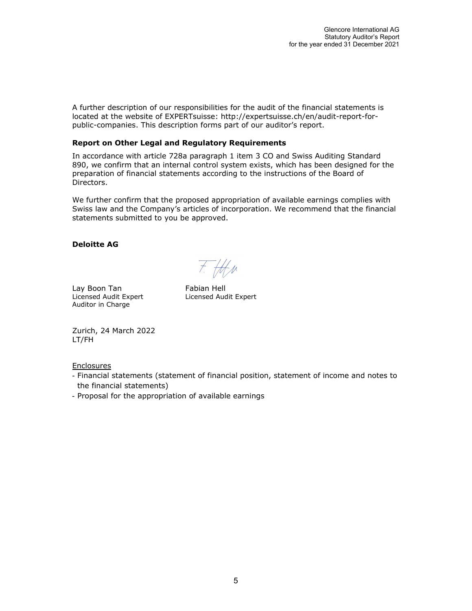A further description of our responsibilities for the audit of the financial statements is located at the website of EXPERTsuisse: http://expertsuisse.ch/en/audit-report-forpublic-companies. This description forms part of our auditor's report.

## **Report on Other Legal and Regulatory Requirements**

In accordance with article 728a paragraph 1 item 3 CO and Swiss Auditing Standard 890, we confirm that an internal control system exists, which has been designed for the preparation of financial statements according to the instructions of the Board of Directors.

We further confirm that the proposed appropriation of available earnings complies with Swiss law and the Company's articles of incorporation. We recommend that the financial statements submitted to you be approved.

## **Deloitte AG**

Lay Boon Tan Fabian Hell Auditor in Charge

 $F.$  H/w

Licensed Audit Expert Licensed Audit Expert

Zurich, 24 March 2022 LT/FH

Enclosures

- Financial statements (statement of financial position, statement of income and notes to the financial statements)
- Proposal for the appropriation of available earnings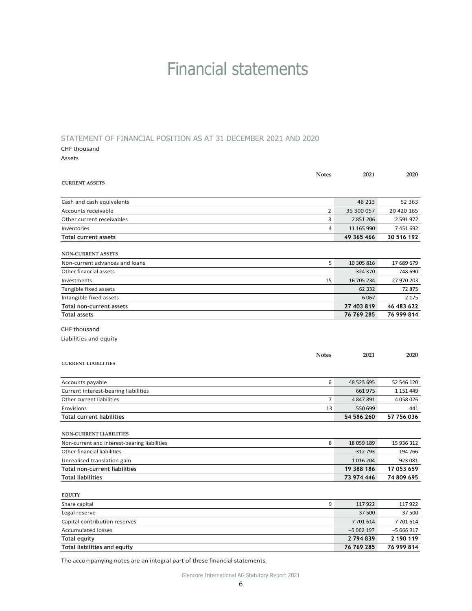## Financial statements

### STATEMENT OF FINANCIAL POSITION AS AT 31 DECEMBER 2021 AND 2020

#### CHF thousand

Assets

|                                              | <b>Notes</b> | 2021       | 2020          |
|----------------------------------------------|--------------|------------|---------------|
| <b>CURRENT ASSETS</b>                        |              |            |               |
|                                              |              |            |               |
| Cash and cash equivalents                    |              | 48 213     | 52 363        |
| Accounts receivable                          | 2            | 35 300 057 | 20 420 165    |
| Other current receivables                    | 3            | 2 851 206  | 2 5 9 1 9 7 2 |
| Inventories                                  | 4            | 11 165 990 | 7451692       |
| <b>Total current assets</b>                  |              | 49 365 466 | 30 516 192    |
|                                              |              |            |               |
| <b>NON-CURRENT ASSETS</b>                    |              |            |               |
| Non-current advances and loans               | 5            | 10 305 816 | 17 689 679    |
| Other financial assets                       |              | 324 370    | 748 690       |
| Investments                                  | 15           | 16 705 234 | 27 970 203    |
| Tangible fixed assets                        |              | 62 332     | 72 875        |
| Intangible fixed assets                      |              | 6067       | 2 1 7 5       |
| Total non-current assets                     |              | 27 403 819 | 46 483 622    |
| <b>Total assets</b>                          |              | 76 769 285 | 76 999 814    |
| CHF thousand                                 |              |            |               |
| Liabilities and equity                       |              |            |               |
|                                              |              |            |               |
|                                              | <b>Notes</b> | 2021       | 2020          |
| <b>CURRENT LIABILITIES</b>                   |              |            |               |
|                                              |              |            |               |
| Accounts payable                             | 6            | 48 525 695 | 52 546 120    |
| Current interest-bearing liabilities         |              | 661 975    | 1 1 5 1 4 4 9 |
| Other current liabilities                    | 7            | 4 847 891  | 4058026       |
| Provisions                                   | 13           | 550 699    | 441           |
| <b>Total current liabilities</b>             |              | 54 586 260 | 57 756 036    |
|                                              |              |            |               |
| <b>NON-CURRENT LIABILITIES</b>               |              |            |               |
| Non-current and interest-bearing liabilities | 8            | 18 059 189 | 15 936 312    |
| Other financial liabilities                  |              | 312 793    | 194 266       |
| Unrealised translation gain                  |              | 1016204    | 923 081       |
| Total non-current liabilities                |              | 19 388 186 | 17 053 659    |
| <b>Total liabilities</b>                     |              | 73 974 446 | 74 809 695    |
|                                              |              |            |               |
| <b>EQUITY</b>                                |              |            |               |
| Share capital                                | 9            | 117922     | 117922        |
| Legal reserve                                |              | 37 500     | 37 500        |
| Capital contribution reserves                |              | 7701614    | 7701614       |
| <b>Accumulated losses</b>                    |              | $-5062197$ | $-5666917$    |
| <b>Total equity</b>                          |              | 2794839    | 2 190 119     |
|                                              |              |            |               |

The accompanying notes are an integral part of these financial statements.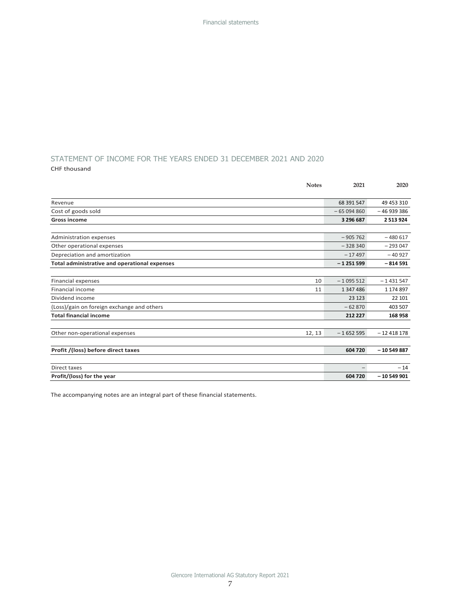## STATEMENT OF INCOME FOR THE YEARS ENDED 31 DECEMBER 2021 AND 2020

CHF thousand

|                                               | <b>Notes</b> | 2021        | 2020          |
|-----------------------------------------------|--------------|-------------|---------------|
|                                               |              |             |               |
| Revenue                                       |              | 68 391 547  | 49 453 310    |
| Cost of goods sold                            |              | $-65094860$ | $-46939386$   |
| <b>Gross income</b>                           |              | 3 296 687   | 2 5 1 3 9 2 4 |
|                                               |              |             |               |
| Administration expenses                       |              | $-905762$   | $-480617$     |
| Other operational expenses                    |              | $-328340$   | $-293047$     |
| Depreciation and amortization                 |              | $-17497$    | $-40927$      |
| Total administrative and operational expenses |              | $-1251599$  | $-814591$     |
|                                               |              |             |               |
| Financial expenses                            | 10           | $-1095512$  | $-1431547$    |
| Financial income                              | 11           | 1 347 486   | 1 174 897     |
| Dividend income                               |              | 23 1 23     | 22 10 1       |
| (Loss)/gain on foreign exchange and others    |              | $-62870$    | 403 507       |
| <b>Total financial income</b>                 |              | 212 227     | 168958        |
|                                               |              |             |               |
| Other non-operational expenses                | 12, 13       | $-1652595$  | $-12418178$   |
|                                               |              |             |               |
| Profit /(loss) before direct taxes            |              | 604 720     | $-10549887$   |
|                                               |              |             |               |
| Direct taxes                                  |              |             | $-14$         |
| Profit/(loss) for the year                    |              | 604 720     | $-10549901$   |

The accompanying notes are an integral part of these financial statements.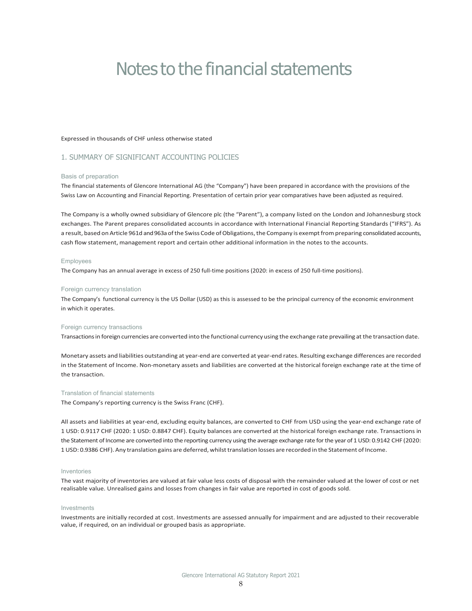## Notes to the financial statements

#### Expressed in thousands of CHF unless otherwise stated

### 1. SUMMARY OF SIGNIFICANT ACCOUNTING POLICIES

#### Basis of preparation

The financial statements of Glencore International AG (the "Company") have been prepared in accordance with the provisions of the Swiss Law on Accounting and Financial Reporting. Presentation of certain prior year comparatives have been adjusted as required.

The Company is a wholly owned subsidiary of Glencore plc (the "Parent"), a company listed on the London and Johannesburg stock exchanges. The Parent prepares consolidated accounts in accordance with International Financial Reporting Standards ("IFRS"). As a result, based on Article 961d and 963a of the Swiss Code of Obligations, the Company is exempt from preparing consolidated accounts, cash flow statement, management report and certain other additional information in the notes to the accounts.

#### Employees

The Company has an annual average in excess of 250 full‐time positions (2020: in excess of 250 full‐time positions).

#### Foreign currency translation

The Company's functional currency is the US Dollar (USD) as this is assessed to be the principal currency of the economic environment in which it operates.

#### Foreign currency transactions

Transactionsin foreign currencies are converted into the functional currencyusing the exchange rate prevailing at the transaction date.

Monetary assets and liabilities outstanding at year‐end are converted at year‐end rates. Resulting exchange differences are recorded in the Statement of Income. Non-monetary assets and liabilities are converted at the historical foreign exchange rate at the time of the transaction.

#### Translation of financial statements

The Company's reporting currency is the Swiss Franc (CHF).

All assets and liabilities at year-end, excluding equity balances, are converted to CHF from USD using the year-end exchange rate of 1 USD: 0.9117 CHF (2020: 1 USD: 0.8847 CHF). Equity balances are converted at the historical foreign exchange rate. Transactions in the Statement of Income are converted into the reporting currency using the average exchange rate forthe year of 1USD: 0.9142 CHF (2020: 1USD: 0.9386 CHF). Any translation gains are deferred, whilsttranslation losses are recorded in the Statement of Income.

#### Inventories

The vast majority of inventories are valued at fair value less costs of disposal with the remainder valued at the lower of cost or net realisable value. Unrealised gains and losses from changes in fair value are reported in cost of goods sold.

#### Investments

Investments are initially recorded at cost. Investments are assessed annually for impairment and are adjusted to their recoverable value, if required, on an individual or grouped basis as appropriate.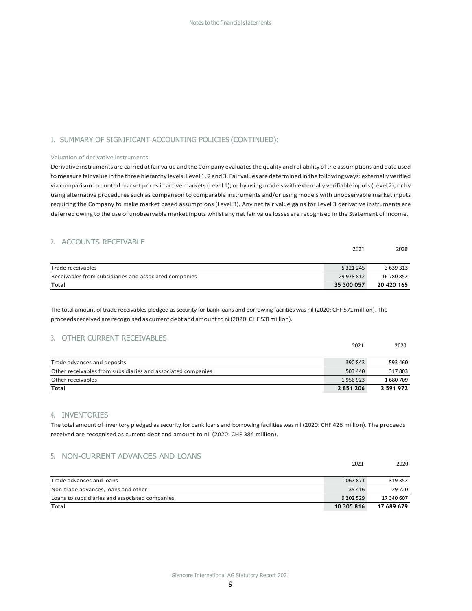## 1. SUMMARY OF SIGNIFICANT ACCOUNTING POLICIES (CONTINUED):

#### Valuation of derivative instruments

Derivative instruments are carried atfair value and the Company evaluatesthe quality and reliability ofthe assumptions and data used tomeasure fair value in the three hierarchy levels, Level 1, 2 and 3. Fair values are determined in the followingways: externally verified via comparison to quoted market pricesin active markets(Level 1); or by usingmodels with externally verifiable inputs(Level 2); or by using alternative procedures such as comparison to comparable instruments and/or using models with unobservable market inputs requiring the Company to make market based assumptions (Level 3). Any net fair value gains for Level 3 derivative instruments are deferred owing to the use of unobservable market inputs whilst any net fair value losses are recognised in the Statement of Income.

## 2. ACCOUNTS RECEIVABLE

| Trade receivables                                      | 5 3 2 1 2 4 5 | 3 639 313  |
|--------------------------------------------------------|---------------|------------|
| Receivables from subsidiaries and associated companies | 29 978 812    | 16 780 852 |
| <b>Total</b>                                           | 35 300 057    | 20 420 165 |

**2021 2020**

**2021 2020**

The total amount of trade receivables pledged as security for bank loans and borrowing facilities was nil (2020: CHF571 million). The proceeds received are recognised as current debt and amount to nil (2020: CHF 501 million).

#### 3. OTHER CURRENT RECEIVABLES

|                                                              | 2021      | 2020      |
|--------------------------------------------------------------|-----------|-----------|
| Trade advances and deposits                                  | 390 843   | 593 460   |
| Other receivables from subsidiaries and associated companies | 503 440   | 317803    |
| Other receivables                                            | 1956923   | 1680709   |
| <b>Total</b>                                                 | 2 851 206 | 2 591 972 |

### 4. INVENTORIES

The total amount of inventory pledged assecurity for bank loans and borrowing facilities was nil (2020: CHF 426 million). The proceeds received are recognised as current debt and amount to nil (2020: CHF 384 million).

### 5. NON-CURRENT ADVANCES AND LOANS

| Trade advances and loans                       | 1067871    | 319352     |
|------------------------------------------------|------------|------------|
| Non-trade advances, loans and other            | 35 4 16    | 29 720     |
| Loans to subsidiaries and associated companies | 9 202 5 29 | 17 340 607 |
| <b>Total</b>                                   | 10 305 816 | 17 689 679 |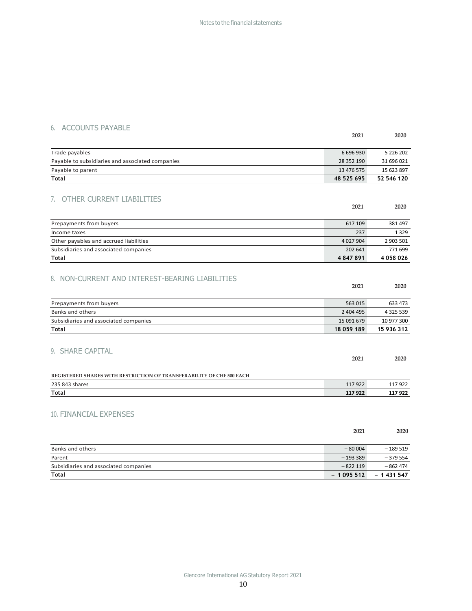## 6. ACCOUNTS PAYABLE

|                                                                       | 2021        | 2020          |
|-----------------------------------------------------------------------|-------------|---------------|
| Trade payables                                                        | 6 696 930   | 5 226 202     |
| Payable to subsidiaries and associated companies                      | 28 352 190  | 31 696 021    |
| Payable to parent                                                     | 13 476 575  | 15 623 897    |
| <b>Total</b>                                                          | 48 525 695  | 52 546 120    |
|                                                                       |             |               |
| 7. OTHER CURRENT LIABILITIES                                          |             |               |
|                                                                       | 2021        | 2020          |
|                                                                       |             |               |
| Prepayments from buyers                                               | 617 109     | 381497        |
| Income taxes                                                          | 237         | 1329          |
| Other payables and accrued liabilities                                | 4 0 27 9 04 | 2 903 501     |
| Subsidiaries and associated companies                                 | 202 641     | 771699        |
| <b>Total</b>                                                          | 4 847 891   | 4 058 026     |
| 8. NON-CURRENT AND INTEREST-BEARING LIABILITIES                       | 2021        | 2020          |
| Prepayments from buyers                                               | 563 015     | 633 473       |
| <b>Banks and others</b>                                               | 2 404 495   | 4 3 2 5 5 3 9 |
| Subsidiaries and associated companies                                 | 15 091 679  | 10 977 300    |
| <b>Total</b>                                                          | 18 059 189  | 15 936 312    |
| 9. SHARE CAPITAL                                                      | 2021        | 2020          |
| REGISTERED SHARES WITH RESTRICTION OF TRANSFERABILITY OF CHF 500 EACH |             |               |
| 235 843 shares                                                        | 117922      | 117922        |
| Total                                                                 | 117922      | 117922        |
| <b>10. FINANCIAL EXPENSES</b>                                         | 2021        | 2020          |

| Banks and others                      | $-80004$   | $-189519$  |
|---------------------------------------|------------|------------|
| Parent                                | $-193339$  | $-379554$  |
| Subsidiaries and associated companies | $-822119$  | $-862474$  |
| <b>Total</b>                          | $-1095512$ | $-1431547$ |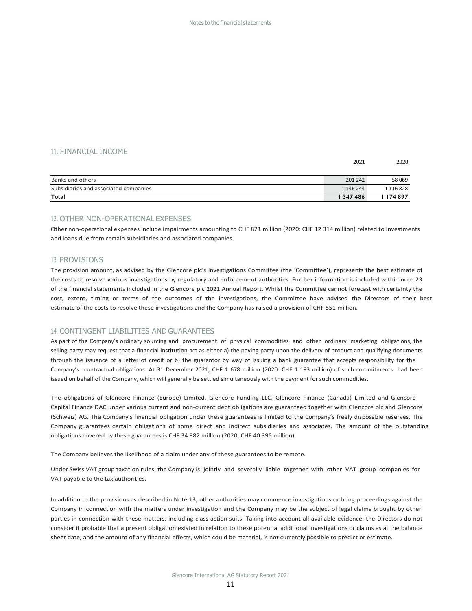#### 11. FINANCIAL INCOME

|                                       | 2021      | 2020          |  |
|---------------------------------------|-----------|---------------|--|
|                                       |           |               |  |
| Banks and others                      | 201 242   | 58 069        |  |
| Subsidiaries and associated companies | 1 146 244 | 1 1 1 6 8 2 8 |  |
| <b>Total</b>                          | 1 347 486 | 1 174 897     |  |

#### 12. OTHER NON-OPERATIONAL EXPENSES

Other non‐operational expenses include impairments amounting to CHF 821 million (2020: CHF 12 314 million) related to investments and loans due from certain subsidiaries and associated companies.

#### 13. PROVISIONS

The provision amount, as advised by the Glencore plc's Investigations Committee (the 'Committee'), represents the best estimate of the costs to resolve various investigations by regulatory and enforcement authorities. Further information is included within note 23 of the financial statements included in the Glencore plc 2021 Annual Report. Whilst the Committee cannot forecast with certainty the cost, extent, timing or terms of the outcomes of the investigations, the Committee have advised the Directors of their best estimate of the costs to resolve these investigations and the Company has raised a provision of CHF 551 million.

#### 14. CONTINGENT LIABILITIES ANDGUARANTEES

As part of the Company's ordinary sourcing and procurement of physical commodities and other ordinary marketing obligations, the selling party may request that a financial institution act as either a) the paying party upon the delivery of product and qualifying documents through the issuance of a letter of credit or b) the guarantor by way of issuing a bank guarantee that accepts responsibility for the Company's contractual obligations. At 31 December 2021, CHF 1 678 million (2020: CHF 1 193 million) of such commitments had been issued on behalf of the Company, which will generally be settled simultaneously with the payment for such commodities.

The obligations of Glencore Finance (Europe) Limited, Glencore Funding LLC, Glencore Finance (Canada) Limited and Glencore Capital Finance DAC under various current and non‐current debt obligations are guaranteed together with Glencore plc and Glencore (Schweiz) AG. The Company's financial obligation under these guarantees is limited to the Company's freely disposable reserves. The Company guarantees certain obligations of some direct and indirect subsidiaries and associates. The amount of the outstanding obligations covered by these guarantees is CHF 34 982 million (2020: CHF 40 395 million).

The Company believes the likelihood of a claim under any of these guarantees to be remote.

Under Swiss VAT group taxation rules, the Company is jointly and severally liable together with other VAT group companies for VAT payable to the tax authorities.

In addition to the provisions as described in Note 13, other authorities may commence investigations or bring proceedings against the Company in connection with the matters under investigation and the Company may be the subject of legal claims brought by other parties in connection with these matters, including class action suits. Taking into account all available evidence, the Directors do not consider it probable that a present obligation existed in relation to these potential additional investigations or claims as at the balance sheet date, and the amount of any financial effects, which could be material, is not currently possible to predict or estimate.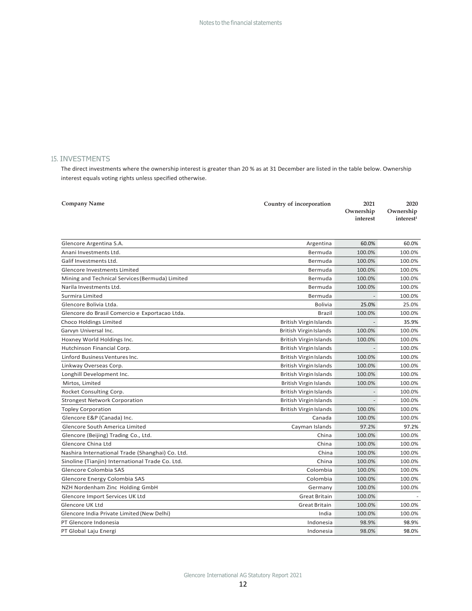## 15. INVESTMENTS

The direct investments where the ownership interest is greater than 20 % as at 31 December are listed in the table below. Ownership interest equals voting rights unless specified otherwise.

| <b>Company Name</b>                             | Country of incorporation      | 2021<br>Ownership<br>interest | 2020<br>Ownership<br>interest <sup>1</sup> |
|-------------------------------------------------|-------------------------------|-------------------------------|--------------------------------------------|
| Glencore Argentina S.A.                         | Argentina                     | 60.0%                         | 60.0%                                      |
| Anani Investments Ltd.                          | Bermuda                       | 100.0%                        | 100.0%                                     |
| Galif Investments Ltd.                          | Bermuda                       | 100.0%                        | 100.0%                                     |
| Glencore Investments Limited                    | Bermuda                       | 100.0%                        | 100.0%                                     |
| Mining and Technical Services (Bermuda) Limited | Bermuda                       | 100.0%                        | 100.0%                                     |
| Narila Investments Ltd.                         | Bermuda                       | 100.0%                        | 100.0%                                     |
| Surmira Limited                                 | Bermuda                       |                               | 100.0%                                     |
| Glencore Bolivia Ltda.                          | <b>Bolivia</b>                | 25.0%                         | 25.0%                                      |
| Glencore do Brasil Comercio e Exportacao Ltda.  | Brazil                        | 100.0%                        | 100.0%                                     |
| Choco Holdings Limited                          | <b>British Virgin Islands</b> |                               | 35.9%                                      |
| Garvyn Universal Inc.                           | British Virgin Islands        | 100.0%                        | 100.0%                                     |
| Hoxney World Holdings Inc.                      | <b>British Virgin Islands</b> | 100.0%                        | 100.0%                                     |
| Hutchinson Financial Corp.                      | British Virgin Islands        |                               | 100.0%                                     |
| Linford Business Ventures Inc.                  | British Virgin Islands        | 100.0%                        | 100.0%                                     |
| Linkway Overseas Corp.                          | British Virgin Islands        | 100.0%                        | 100.0%                                     |
| Longhill Development Inc.                       | British Virgin Islands        | 100.0%                        | 100.0%                                     |
| Mirtos, Limited                                 | British Virgin Islands        | 100.0%                        | 100.0%                                     |
| Rocket Consulting Corp.                         | British Virgin Islands        |                               | 100.0%                                     |
| <b>Strongest Network Corporation</b>            | <b>British Virgin Islands</b> |                               | 100.0%                                     |
| <b>Topley Corporation</b>                       | <b>British Virgin Islands</b> | 100.0%                        | 100.0%                                     |
| Glencore E&P (Canada) Inc.                      | Canada                        | 100.0%                        | 100.0%                                     |
| Glencore South America Limited                  | Cayman Islands                | 97.2%                         | 97.2%                                      |
| Glencore (Beijing) Trading Co., Ltd.            | China                         | 100.0%                        | 100.0%                                     |
| Glencore China Ltd                              | China                         | 100.0%                        | 100.0%                                     |
| Nashira International Trade (Shanghai) Co. Ltd. | China                         | 100.0%                        | 100.0%                                     |
| Sinoline (Tianjin) International Trade Co. Ltd. | China                         | 100.0%                        | 100.0%                                     |
| Glencore Colombia SAS                           | Colombia                      | 100.0%                        | 100.0%                                     |
| Glencore Energy Colombia SAS                    | Colombia                      | 100.0%                        | 100.0%                                     |
| NZH Nordenham Zinc Holding GmbH                 | Germany                       | 100.0%                        | 100.0%                                     |
| Glencore Import Services UK Ltd                 | <b>Great Britain</b>          | 100.0%                        |                                            |
| Glencore UK Ltd                                 | <b>Great Britain</b>          | 100.0%                        | 100.0%                                     |
| Glencore India Private Limited (New Delhi)      | India                         | 100.0%                        | 100.0%                                     |
| PT Glencore Indonesia                           | Indonesia                     | 98.9%                         | 98.9%                                      |
| PT Global Laju Energi                           | Indonesia                     | 98.0%                         | 98.0%                                      |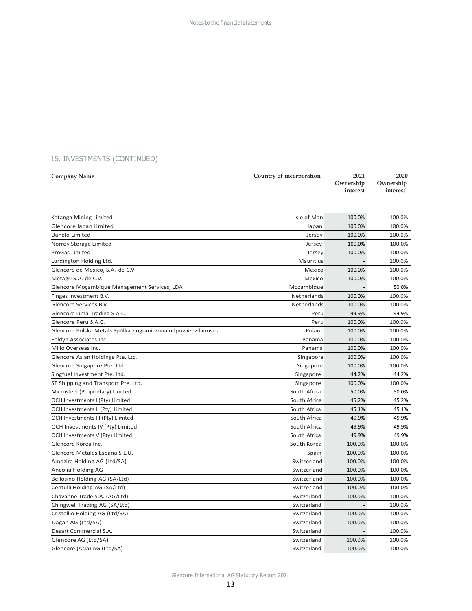| <b>Company Name</b> | Country of incorporation | 2021     | 2020                                         |
|---------------------|--------------------------|----------|----------------------------------------------|
|                     |                          | interest | Ownership Ownership<br>interest <sup>1</sup> |
|                     |                          |          |                                              |

| Katanga Mining Limited                                         | Isle of Man  | 100.0%         | 100.0% |
|----------------------------------------------------------------|--------------|----------------|--------|
| Glencore Japan Limited                                         | Japan        | 100.0%         | 100.0% |
| Danelo Limited                                                 | Jersey       | 100.0%         | 100.0% |
| Norroy Storage Limited                                         | Jersey       | 100.0%         | 100.0% |
| <b>ProGas Limited</b>                                          | Jersey       | 100.0%         | 100.0% |
| Lurdington Holding Ltd.                                        | Mauritius    | ÷,             | 100.0% |
| Glencore de Mexico, S.A. de C.V.                               | Mexico       | 100.0%         | 100.0% |
| Metagri S.A. de C.V.                                           | Mexico       | 100.0%         | 100.0% |
| Glencore Moçambique Management Services, LDA                   | Mozambique   |                | 50.0%  |
| Finges Investment B.V.                                         | Netherlands  | 100.0%         | 100.0% |
| Glencore Services B.V.                                         | Netherlands  | 100.0%         | 100.0% |
| Glencore Lima Trading S.A.C.                                   | Peru         | 99.9%          | 99.9%  |
| Glencore Peru S.A.C.                                           | Peru         | 100.0%         | 100.0% |
| Glencore Polska Metals Spólka z ograniczona odpowiedzilanoscia | Poland       | 100.0%         | 100.0% |
| Feldyn Associates Inc.                                         | Panama       | 100.0%         | 100.0% |
| Milio Overseas Inc.                                            | Panama       | 100.0%         | 100.0% |
| Glencore Asian Holdings Pte. Ltd.                              | Singapore    | 100.0%         | 100.0% |
| Glencore Singapore Pte. Ltd.                                   | Singapore    | 100.0%         | 100.0% |
| Singfuel Investment Pte. Ltd.                                  | Singapore    | 44.2%          | 44.2%  |
| ST Shipping and Transport Pte. Ltd.                            | Singapore    | 100.0%         | 100.0% |
| Microsteel (Proprietary) Limited                               | South Africa | 50.0%          | 50.0%  |
| OCH Investments I (Pty) Limited                                | South Africa | 45.2%          | 45.2%  |
| OCH Investments II (Pty) Limited                               | South Africa | 45.1%          | 45.1%  |
| OCH Investments III (Pty) Limited                              | South Africa | 49.9%          | 49.9%  |
| OCH Investments IV (Pty) Limited                               | South Africa | 49.9%          | 49.9%  |
| OCH Investments V (Pty) Limited                                | South Africa | 49.9%          | 49.9%  |
| Glencore Korea Inc.                                            | South Korea  | 100.0%         | 100.0% |
| Glencore Metales Espana S.L.U.                                 | Spain        | 100.0%         | 100.0% |
| Amozira Holding AG (Ltd/SA)                                    | Switzerland  | 100.0%         | 100.0% |
| Ancolia Holding AG                                             | Switzerland  | 100.0%         | 100.0% |
| Bellosino Holding AG (SA/Ltd)                                  | Switzerland  | 100.0%         | 100.0% |
| Centulli Holding AG (SA/Ltd)                                   | Switzerland  | 100.0%         | 100.0% |
| Chavanne Trade S.A. (AG/Ltd)                                   | Switzerland  | 100.0%         | 100.0% |
| Chingwell Trading AG (SA/Ltd)                                  | Switzerland  | $\blacksquare$ | 100.0% |
| Cristellio Holding AG (Ltd/SA)                                 | Switzerland  | 100.0%         | 100.0% |
| Dagan AG (Ltd/SA)                                              | Switzerland  | 100.0%         | 100.0% |
| Desart Commercial S.A.                                         | Switzerland  | $\bar{a}$      | 100.0% |
| Glencore AG (Ltd/SA)                                           | Switzerland  | 100.0%         | 100.0% |
| Glencore (Asia) AG (Ltd/SA)                                    | Switzerland  | 100.0%         | 100.0% |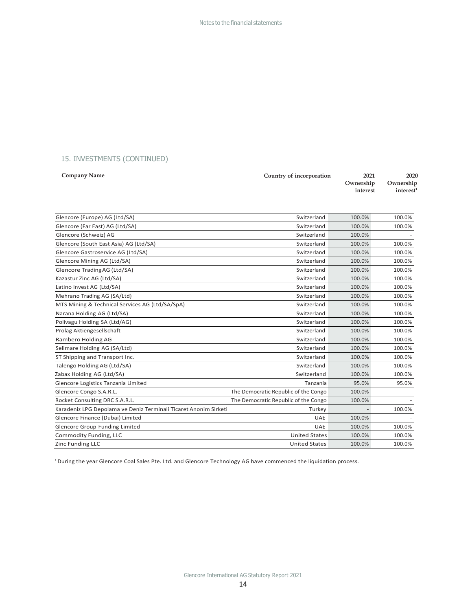| <b>Company Name</b> | Country of incorporation | 2021     | 2020                  |
|---------------------|--------------------------|----------|-----------------------|
|                     |                          |          | Ownership Ownership   |
|                     |                          | interest | interest <sup>1</sup> |

| Glencore (Europe) AG (Ltd/SA)                                    | Switzerland                          | 100.0% | 100.0% |
|------------------------------------------------------------------|--------------------------------------|--------|--------|
| Glencore (Far East) AG (Ltd/SA)                                  | Switzerland                          | 100.0% | 100.0% |
| Glencore (Schweiz) AG                                            | Switzerland                          | 100.0% |        |
| Glencore (South East Asia) AG (Ltd/SA)                           | Switzerland                          | 100.0% | 100.0% |
| Glencore Gastroservice AG (Ltd/SA)                               | Switzerland                          | 100.0% | 100.0% |
| Glencore Mining AG (Ltd/SA)                                      | Switzerland                          | 100.0% | 100.0% |
| Glencore Trading AG (Ltd/SA)                                     | Switzerland                          | 100.0% | 100.0% |
| Kazastur Zinc AG (Ltd/SA)                                        | Switzerland                          | 100.0% | 100.0% |
| Latino Invest AG (Ltd/SA)                                        | Switzerland                          | 100.0% | 100.0% |
| Mehrano Trading AG (SA/Ltd)                                      | Switzerland                          | 100.0% | 100.0% |
| MTS Mining & Technical Services AG (Ltd/SA/SpA)                  | Switzerland                          | 100.0% | 100.0% |
| Narana Holding AG (Ltd/SA)                                       | Switzerland                          | 100.0% | 100.0% |
| Polivagu Holding SA (Ltd/AG)                                     | Switzerland                          | 100.0% | 100.0% |
| Prolag Aktiengesellschaft                                        | Switzerland                          | 100.0% | 100.0% |
| Rambero Holding AG                                               | Switzerland                          | 100.0% | 100.0% |
| Selimare Holding AG (SA/Ltd)                                     | Switzerland                          | 100.0% | 100.0% |
| ST Shipping and Transport Inc.                                   | Switzerland                          | 100.0% | 100.0% |
| Talengo Holding AG (Ltd/SA)                                      | Switzerland                          | 100.0% | 100.0% |
| Zabax Holding AG (Ltd/SA)                                        | Switzerland                          | 100.0% | 100.0% |
| Glencore Logistics Tanzania Limited                              | Tanzania                             | 95.0%  | 95.0%  |
| Glencore Congo S.A.R.L.                                          | The Democratic Republic of the Congo | 100.0% |        |
| Rocket Consulting DRC S.A.R.L.                                   | The Democratic Republic of the Congo | 100.0% |        |
| Karadeniz LPG Depolama ve Deniz Terminali Ticaret Anonim Sirketi | Turkey                               |        | 100.0% |
| Glencore Finance (Dubai) Limited                                 | <b>UAE</b>                           | 100.0% |        |
| <b>Glencore Group Funding Limited</b>                            | <b>UAE</b>                           | 100.0% | 100.0% |
| Commodity Funding, LLC                                           | <b>United States</b>                 | 100.0% | 100.0% |
| Zinc Funding LLC                                                 | <b>United States</b>                 | 100.0% | 100.0% |

1During the year Glencore Coal Sales Pte. Ltd. and Glencore Technology AG have commenced the liquidation process.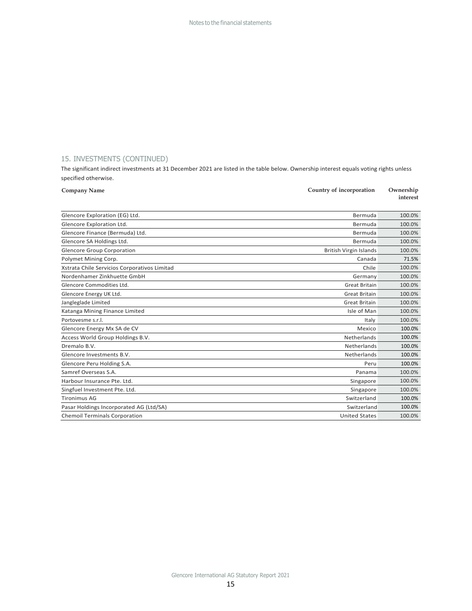The significant indirect investments at 31 December 2021 are listed in the table below. Ownership interest equals voting rights unless specified otherwise.

| <b>Company Name</b>                          | Country of incorporation      | Ownership<br>interest |  |
|----------------------------------------------|-------------------------------|-----------------------|--|
|                                              |                               |                       |  |
| Glencore Exploration (EG) Ltd.               | Bermuda                       | 100.0%                |  |
| Glencore Exploration Ltd.                    | Bermuda                       | 100.0%                |  |
| Glencore Finance (Bermuda) Ltd.              | Bermuda                       | 100.0%                |  |
| Glencore SA Holdings Ltd.                    | Bermuda                       | 100.0%                |  |
| <b>Glencore Group Corporation</b>            | <b>British Virgin Islands</b> | 100.0%                |  |
| Polymet Mining Corp.                         | Canada                        | 71.5%                 |  |
| Xstrata Chile Servicios Corporativos Limitad | Chile                         | 100.0%                |  |
| Nordenhamer Zinkhuette GmbH                  | Germany                       | 100.0%                |  |
| Glencore Commodities Ltd.                    | <b>Great Britain</b>          | 100.0%                |  |
| Glencore Energy UK Ltd.                      | <b>Great Britain</b>          | 100.0%                |  |
| Jangleglade Limited                          | <b>Great Britain</b>          | 100.0%                |  |
| Katanga Mining Finance Limited               | Isle of Man                   | 100.0%                |  |
| Portovesme s.r.l.                            | Italy                         | 100.0%                |  |
| Glencore Energy Mx SA de CV                  | Mexico                        | 100.0%                |  |
| Access World Group Holdings B.V.             | Netherlands                   | 100.0%                |  |
| Dremalo B.V.                                 | Netherlands                   | 100.0%                |  |
| Glencore Investments B.V.                    | Netherlands                   | 100.0%                |  |
| Glencore Peru Holding S.A.                   | Peru                          | 100.0%                |  |
| Samref Overseas S.A.                         | Panama                        | 100.0%                |  |
| Harbour Insurance Pte. Ltd.                  | Singapore                     | 100.0%                |  |
| Singfuel Investment Pte. Ltd.                | Singapore                     | 100.0%                |  |
| <b>Tironimus AG</b>                          | Switzerland                   | 100.0%                |  |
| Pasar Holdings Incorporated AG (Ltd/SA)      | Switzerland                   | 100.0%                |  |
| <b>Chemoil Terminals Corporation</b>         | <b>United States</b>          | 100.0%                |  |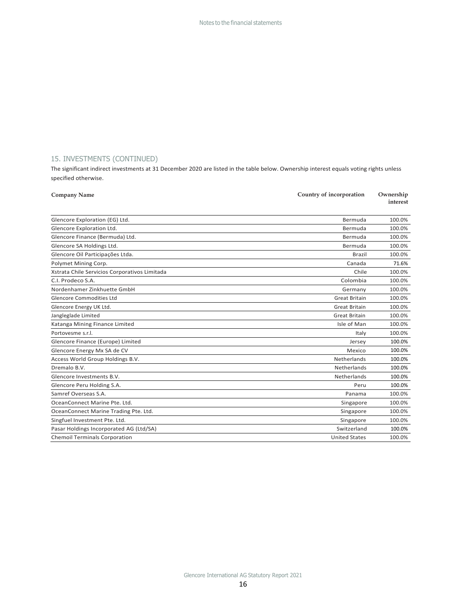The significant indirect investments at 31 December 2020 are listed in the table below. Ownership interest equals voting rights unless specified otherwise.

| Country of incorporation<br><b>Company Name</b> |                      | Ownership<br>interest |
|-------------------------------------------------|----------------------|-----------------------|
| Glencore Exploration (EG) Ltd.                  | Bermuda              | 100.0%                |
| Glencore Exploration Ltd.                       | Bermuda              | 100.0%                |
| Glencore Finance (Bermuda) Ltd.                 | Bermuda              | 100.0%                |
| Glencore SA Holdings Ltd.                       | Bermuda              | 100.0%                |
| Glencore Oil Participações Ltda.                | Brazil               | 100.0%                |
| Polymet Mining Corp.                            | Canada               | 71.6%                 |
| Xstrata Chile Servicios Corporativos Limitada   | Chile                | 100.0%                |
| C.I. Prodeco S.A.                               | Colombia             | 100.0%                |
| Nordenhamer Zinkhuette GmbH                     | Germany              | 100.0%                |
| <b>Glencore Commodities Ltd</b>                 | <b>Great Britain</b> | 100.0%                |
| Glencore Energy UK Ltd.                         | <b>Great Britain</b> | 100.0%                |
| Jangleglade Limited                             | Great Britain        | 100.0%                |
| Katanga Mining Finance Limited                  | Isle of Man          | 100.0%                |
| Portovesme s.r.l.                               | Italy                | 100.0%                |
| Glencore Finance (Europe) Limited               | Jersey               | 100.0%                |
| Glencore Energy Mx SA de CV                     | Mexico               | 100.0%                |
| Access World Group Holdings B.V.                | Netherlands          | 100.0%                |
| Dremalo B.V.                                    | Netherlands          | 100.0%                |
| Glencore Investments B.V.                       | Netherlands          | 100.0%                |
| Glencore Peru Holding S.A.                      | Peru                 | 100.0%                |
| Samref Overseas S.A.                            | Panama               | 100.0%                |
| OceanConnect Marine Pte, Ltd.                   | Singapore            | 100.0%                |
| OceanConnect Marine Trading Pte. Ltd.           | Singapore            | 100.0%                |
| Singfuel Investment Pte. Ltd.                   | Singapore            | 100.0%                |
| Pasar Holdings Incorporated AG (Ltd/SA)         | Switzerland          | 100.0%                |
| <b>Chemoil Terminals Corporation</b>            | <b>United States</b> | 100.0%                |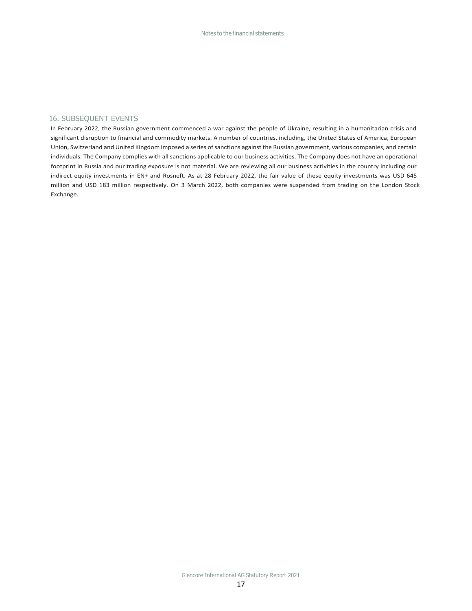## 16. SUBSEQUENT EVENTS

In February 2022, the Russian government commenced a war against the people of Ukraine, resulting in a humanitarian crisis and significant disruption to financial and commodity markets. A number of countries, including, the United States of America, European Union, Switzerland and United Kingdom imposed a series ofsanctions against the Russian government, various companies, and certain individuals. The Company complies with all sanctions applicable to our business activities. The Company does not have an operational footprint in Russia and our trading exposure is not material. We are reviewing all our business activities in the country including our indirect equity investments in EN+ and Rosneft. As at 28 February 2022, the fair value of these equity investments was USD 645 million and USD 183 million respectively. On 3 March 2022, both companies were suspended from trading on the London Stock Exchange.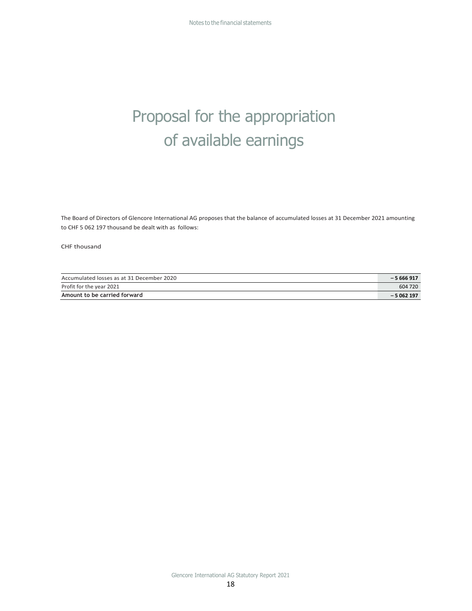## Proposal for the appropriation of available earnings

The Board of Directors of Glencore International AG proposes that the balance of accumulated losses at 31 December 2021 amounting to CHF 5 062 197 thousand be dealt with as follows:

CHF thousand

| Accumulated losses as at 31 December 2020 | $-5666917$ |
|-------------------------------------------|------------|
| Profit for the year 2021                  | 604 720    |
| Amount to be carried forward              | $-5062197$ |